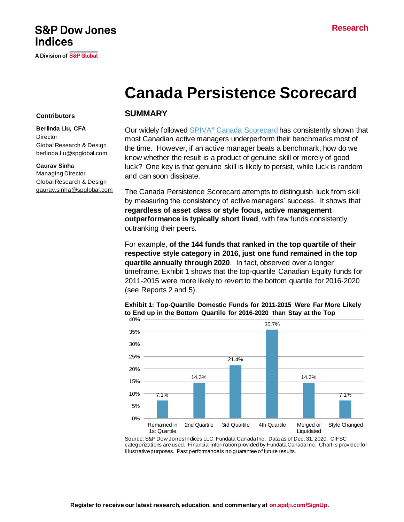## **S&P Dow Jones Indices**

A Division of S&P Global

# **Canada Persistence Scorecard**

#### **Contributors**

**Berlinda Liu, CFA Director** Global Research & Design [berlinda.liu@spglobal.com](mailto:berlinda.liu@spglobal.com)

#### **Gaurav Sinha**

Managing Director Global Research & Design [gaurav.sinha@spglobal.com](mailto:gaurav.sinha@spglobal.com)

#### **SUMMARY**

Our widely followed SPIVA® [Canada Scorecard](https://www.spglobal.com/spdji/en/spiva/article/spiva-canada/) has consistently shown that most Canadian active managers underperform their benchmarks most of the time. However, if an active manager beats a benchmark, how do we know whether the result is a product of genuine skill or merely of good luck? One key is that genuine skill is likely to persist, while luck is random and can soon dissipate.

The Canada Persistence Scorecard attempts to distinguish luck from skill by measuring the consistency of active managers' success. It shows that **regardless of asset class or style focus, active management outperformance is typically short lived**, with few funds consistently outranking their peers.

For example, **of the 144 funds that ranked in the top quartile of their respective style category in 2016, just one fund remained in the top quartile annually through 2020**. In fact, observed over a longer timeframe, Exhibit 1 shows that the top-quartile Canadian Equity funds for 2011-2015 were more likely to revert to the bottom quartile for 2016-2020 (see Reports 2 and 5).



**Exhibit 1: Top-Quartile Domestic Funds for 2011-2015 Were Far More Likely to End up in the Bottom Quartile for 2016-2020 than Stay at the Top**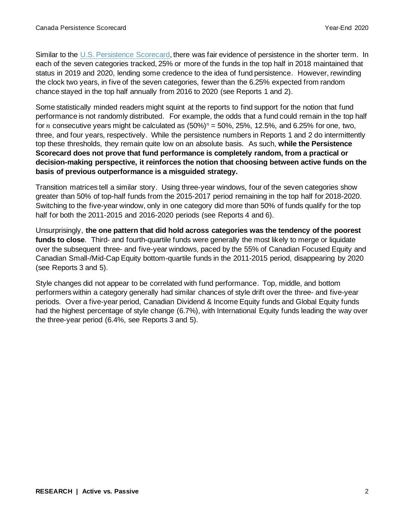Similar to the [U.S. Persistence Scorecard,](https://www.spglobal.com/spdji/en/spiva/article/us-persistence-scorecard/) there was fair evidence of persistence in the shorter term. In each of the seven categories tracked, 25% or more of the funds in the top half in 2018 maintained that status in 2019 and 2020, lending some credence to the idea of fund persistence. However, rewinding the clock two years, in five of the seven categories, fewer than the 6.25% expected from random chance stayed in the top half annually from 2016 to 2020 (see Reports 1 and 2).

Some statistically minded readers might squint at the reports to find support for the notion that fund performance is not randomly distributed. For example, the odds that a fund could remain in the top half for *n* consecutive years might be calculated as  $(50\%)$ <sup>n</sup> = 50%, 25%, 12.5%, and 6.25% for one, two, three, and four years, respectively. While the persistence numbers in Reports 1 and 2 do intermittently top these thresholds, they remain quite low on an absolute basis. As such, **while the Persistence Scorecard does not prove that fund performance is completely random, from a practical or decision-making perspective, it reinforces the notion that choosing between active funds on the basis of previous outperformance is a misguided strategy.** 

Transition matrices tell a similar story. Using three-year windows, four of the seven categories show greater than 50% of top-half funds from the 2015-2017 period remaining in the top half for 2018-2020. Switching to the five-year window, only in one category did more than 50% of funds qualify for the top half for both the 2011-2015 and 2016-2020 periods (see Reports 4 and 6).

Unsurprisingly, **the one pattern that did hold across categories was the tendency of the poorest funds to close**. Third- and fourth-quartile funds were generally the most likely to merge or liquidate over the subsequent three- and five-year windows, paced by the 55% of Canadian Focused Equity and Canadian Small-/Mid-Cap Equity bottom-quartile funds in the 2011-2015 period, disappearing by 2020 (see Reports 3 and 5).

Style changes did not appear to be correlated with fund performance. Top, middle, and bottom performers within a category generally had similar chances of style drift over the three- and five-year periods. Over a five-year period, Canadian Dividend & Income Equity funds and Global Equity funds had the highest percentage of style change (6.7%), with International Equity funds leading the way over the three-year period (6.4%, see Reports 3 and 5).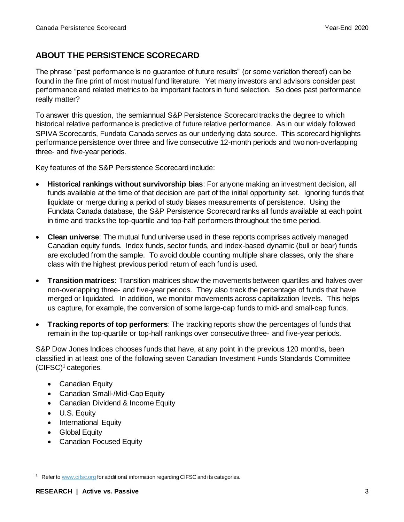## **ABOUT THE PERSISTENCE SCORECARD**

The phrase "past performance is no guarantee of future results" (or some variation thereof) can be found in the fine print of most mutual fund literature. Yet many investors and advisors consider past performance and related metrics to be important factors in fund selection. So does past performance really matter?

To answer this question, the semiannual S&P Persistence Scorecard tracks the degree to which historical relative performance is predictive of future relative performance. As in our widely followed SPIVA Scorecards, Fundata Canada serves as our underlying data source. This scorecard highlights performance persistence over three and five consecutive 12-month periods and two non-overlapping three- and five-year periods.

Key features of the S&P Persistence Scorecard include:

- **Historical rankings without survivorship bias**: For anyone making an investment decision, all funds available at the time of that decision are part of the initial opportunity set. Ignoring funds that liquidate or merge during a period of study biases measurements of persistence. Using the Fundata Canada database, the S&P Persistence Scorecard ranks all funds available at each point in time and tracks the top-quartile and top-half performers throughout the time period.
- **Clean universe**: The mutual fund universe used in these reports comprises actively managed Canadian equity funds. Index funds, sector funds, and index-based dynamic (bull or bear) funds are excluded from the sample. To avoid double counting multiple share classes, only the share class with the highest previous period return of each fund is used.
- **Transition matrices**: Transition matrices show the movements between quartiles and halves over non-overlapping three- and five-year periods. They also track the percentage of funds that have merged or liquidated. In addition, we monitor movements across capitalization levels. This helps us capture, for example, the conversion of some large-cap funds to mid- and small-cap funds.
- **Tracking reports of top performers**: The tracking reports show the percentages of funds that remain in the top-quartile or top-half rankings over consecutive three- and five-year periods.

S&P Dow Jones Indices chooses funds that have, at any point in the previous 120 months, been classified in at least one of the following seven Canadian Investment Funds Standards Committee  $(CIFSC)^1$  categories.

- Canadian Equity
- Canadian Small-/Mid-Cap Equity
- Canadian Dividend & Income Equity
- U.S. Equity
- International Equity
- Global Equity
- Canadian Focused Equity

<sup>&</sup>lt;sup>1</sup> Refer t[o www.cifsc.org](http://www.cifsc.org/) for additional information regarding CIFSC and its categories.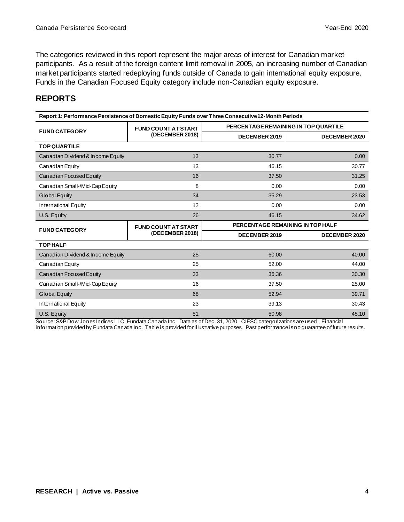The categories reviewed in this report represent the major areas of interest for Canadian market participants. As a result of the foreign content limit removal in 2005, an increasing number of Canadian market participants started redeploying funds outside of Canada to gain international equity exposure. Funds in the Canadian Focused Equity category include non-Canadian equity exposure.

### **REPORTS**

| Report 1: Performance Persistence of Domestic Equity Funds over Three Consecutive 12-Month Periods |                            |                                      |                      |  |  |  |  |
|----------------------------------------------------------------------------------------------------|----------------------------|--------------------------------------|----------------------|--|--|--|--|
| <b>FUND CATEGORY</b>                                                                               | <b>FUND COUNT AT START</b> | PERCENTAGE REMAINING IN TOP QUARTILE |                      |  |  |  |  |
|                                                                                                    | (DECEMBER 2018)            | <b>DECEMBER 2019</b>                 | <b>DECEMBER 2020</b> |  |  |  |  |
| <b>TOP QUARTILE</b>                                                                                |                            |                                      |                      |  |  |  |  |
| Canadian Dividend & Income Equity                                                                  | 13                         | 30.77                                | 0.00                 |  |  |  |  |
| Canadian Equity                                                                                    | 13                         | 46.15                                | 30.77                |  |  |  |  |
| Canadian Focused Equity                                                                            | 16                         | 37.50                                | 31.25                |  |  |  |  |
| Canadian Small-/Mid-Cap Equity                                                                     | 8                          | 0.00                                 | 0.00                 |  |  |  |  |
| <b>Global Equity</b>                                                                               | 34                         | 35.29                                | 23.53                |  |  |  |  |
| International Equity                                                                               | 12                         | 0.00                                 | 0.00                 |  |  |  |  |
| U.S. Equity                                                                                        | 26                         | 46.15                                | 34.62                |  |  |  |  |
| <b>FUND CATEGORY</b>                                                                               | <b>FUND COUNT AT START</b> | PERCENTAGE REMAINING IN TOP HALF     |                      |  |  |  |  |
|                                                                                                    | (DECEMBER 2018)            | <b>DECEMBER 2019</b>                 | <b>DECEMBER 2020</b> |  |  |  |  |
| <b>TOPHALF</b>                                                                                     |                            |                                      |                      |  |  |  |  |
| Canadian Dividend & Income Equity                                                                  | 25                         | 60.00                                | 40.00                |  |  |  |  |
| Canadian Equity                                                                                    | 25                         | 52.00                                | 44.00                |  |  |  |  |
| Canadian Focused Equity                                                                            | 33                         | 36.36                                | 30.30                |  |  |  |  |
| Canadian Small-/Mid-Cap Equity                                                                     | 16                         | 37.50                                | 25.00                |  |  |  |  |
| <b>Global Equity</b>                                                                               | 68                         | 52.94                                | 39.71                |  |  |  |  |
| International Equity                                                                               | 23                         | 39.13                                | 30.43                |  |  |  |  |
| U.S. Equity                                                                                        | 51                         | 50.98                                | 45.10                |  |  |  |  |

Source: S&P Dow Jones Indices LLC, Fundata Canada Inc. Data as of Dec. 31, 2020. CIFSC categorizations are used. Financial

information provided by Fundata Canada Inc. Table is provided for illustrative purposes. Past performance is no guarantee of future results.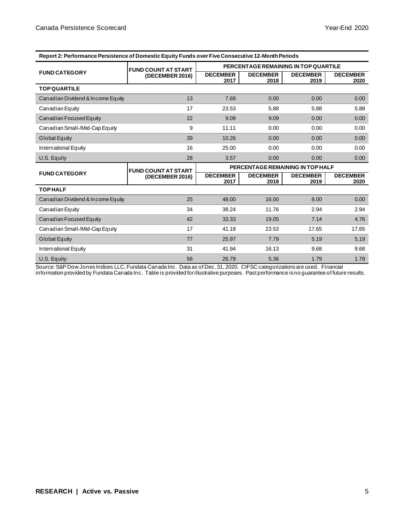| Report 2. Ferformance Fersistence of Domestic Equity Funds over Five Consecutive T2-Month Feriods |                            |                                      |                         |                         |                         |  |  |
|---------------------------------------------------------------------------------------------------|----------------------------|--------------------------------------|-------------------------|-------------------------|-------------------------|--|--|
|                                                                                                   | <b>FUND COUNT AT START</b> | PERCENTAGE REMAINING IN TOP QUARTILE |                         |                         |                         |  |  |
| <b>FUND CATEGORY</b>                                                                              | (DECEMBER 2016)            | <b>DECEMBER</b><br>2017              | <b>DECEMBER</b><br>2018 | <b>DECEMBER</b><br>2019 | <b>DECEMBER</b><br>2020 |  |  |
| <b>TOP QUARTILE</b>                                                                               |                            |                                      |                         |                         |                         |  |  |
| Canadian Dividend & Income Equity                                                                 | 13                         | 7.69                                 | 0.00                    | 0.00                    | 0.00                    |  |  |
| Canadian Equity                                                                                   | 17                         | 23.53                                | 5.88                    | 5.88                    | 5.88                    |  |  |
| Canadian Focused Equity                                                                           | 22                         | 9.09                                 | 9.09                    | 0.00                    | 0.00                    |  |  |
| Canadian Small-/Mid-Cap Equity                                                                    | 9                          | 11.11                                | 0.00                    | 0.00                    | 0.00                    |  |  |
| <b>Global Equity</b>                                                                              | 39                         | 10.26                                | 0.00                    | 0.00                    | 0.00                    |  |  |
| International Equity                                                                              | 16                         | 25.00                                | 0.00                    | 0.00                    | 0.00                    |  |  |
| U.S. Equity                                                                                       | 28                         | 3.57                                 | 0.00                    | 0.00                    | 0.00                    |  |  |
|                                                                                                   | <b>FUND COUNT AT START</b> | PERCENTAGE REMAINING IN TOP HALF     |                         |                         |                         |  |  |
| <b>FUND CATEGORY</b>                                                                              | (DECEMBER 2016)            | <b>DECEMBER</b><br>2017              | <b>DECEMBER</b><br>2018 | <b>DECEMBER</b><br>2019 | <b>DECEMBER</b><br>2020 |  |  |
| <b>TOPHALF</b>                                                                                    |                            |                                      |                         |                         |                         |  |  |
| Canadian Dividend & Income Equity                                                                 | 25                         | 48.00                                | 16.00                   | 8.00                    | 0.00                    |  |  |
| Canadian Equity                                                                                   | 34                         | 38.24                                | 11.76                   | 2.94                    | 2.94                    |  |  |
| Canadian Focused Equity                                                                           | 42                         | 33.33                                | 19.05                   | 7.14                    | 4.76                    |  |  |
| Canadian Small-/Mid-Cap Equity                                                                    | 17                         | 41.18                                | 23.53                   | 17.65                   | 17.65                   |  |  |
| <b>Global Equity</b>                                                                              | 77                         | 25.97                                | 7.79                    | 5.19                    | 5.19                    |  |  |
| International Equity                                                                              | 31                         | 41.94                                | 16.13                   | 9.68                    | 9.68                    |  |  |
| U.S. Equity                                                                                       | 56                         | 26.79                                | 5.36                    | 1.79                    | 1.79                    |  |  |

**Report 2: Performance Persistence of Domestic Equity Funds over Five Consecutive 12-Month Periods**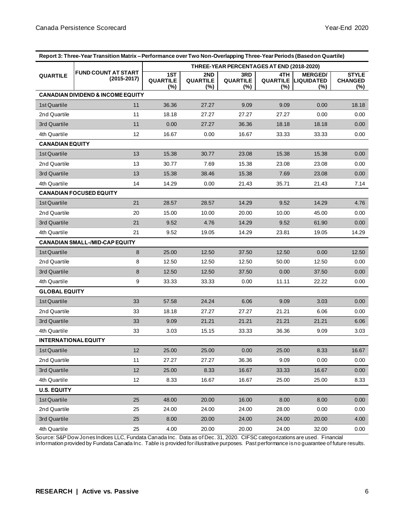| Report 3: Three-Year Transition Matrix - Performance over Two Non-Overlapping Three-Year Periods (Based on Quartile) |                                              |                                           |                           |                                  |             |                                                        |                                           |
|----------------------------------------------------------------------------------------------------------------------|----------------------------------------------|-------------------------------------------|---------------------------|----------------------------------|-------------|--------------------------------------------------------|-------------------------------------------|
| <b>FUND COUNT AT START</b><br><b>QUARTILE</b><br>$(2015 - 2017)$                                                     |                                              | THREE-YEAR PERCENTAGES AT END (2018-2020) |                           |                                  |             |                                                        |                                           |
|                                                                                                                      |                                              | 1ST<br><b>QUARTILE</b><br>$(\%)$          | 2ND<br>QUARTILE<br>$(\%)$ | 3RD<br><b>QUARTILE</b><br>$(\%)$ | 4TH.<br>(%) | <b>MERGED/</b><br><b>QUARTILE LIQUIDATED</b><br>$(\%)$ | <b>STYLE</b><br><b>CHANGED</b><br>$(\% )$ |
|                                                                                                                      | <b>CANADIAN DIVIDEND &amp; INCOME EQUITY</b> |                                           |                           |                                  |             |                                                        |                                           |
| 1st Quartile                                                                                                         | 11                                           | 36.36                                     | 27.27                     | 9.09                             | 9.09        | 0.00                                                   | 18.18                                     |
| 2nd Quartile                                                                                                         | 11                                           | 18.18                                     | 27.27                     | 27.27                            | 27.27       | 0.00                                                   | 0.00                                      |
| 3rd Quartile                                                                                                         | 11                                           | 0.00                                      | 27.27                     | 36.36                            | 18.18       | 18.18                                                  | 0.00                                      |
| 4th Quartile                                                                                                         | 12                                           | 16.67                                     | 0.00                      | 16.67                            | 33.33       | 33.33                                                  | 0.00                                      |
| <b>CANADIAN EQUITY</b>                                                                                               |                                              |                                           |                           |                                  |             |                                                        |                                           |
| 1st Quartile                                                                                                         | 13                                           | 15.38                                     | 30.77                     | 23.08                            | 15.38       | 15.38                                                  | 0.00                                      |
| 2nd Quartile                                                                                                         | 13                                           | 30.77                                     | 7.69                      | 15.38                            | 23.08       | 23.08                                                  | 0.00                                      |
| 3rd Quartile                                                                                                         | 13                                           | 15.38                                     | 38.46                     | 15.38                            | 7.69        | 23.08                                                  | 0.00                                      |
| 4th Quartile                                                                                                         | 14                                           | 14.29                                     | 0.00                      | 21.43                            | 35.71       | 21.43                                                  | 7.14                                      |
|                                                                                                                      | <b>CANADIAN FOCUSED EQUITY</b>               |                                           |                           |                                  |             |                                                        |                                           |
| 1st Quartile                                                                                                         | 21                                           | 28.57                                     | 28.57                     | 14.29                            | 9.52        | 14.29                                                  | 4.76                                      |
| 2nd Quartile                                                                                                         | 20                                           | 15.00                                     | 10.00                     | 20.00                            | 10.00       | 45.00                                                  | 0.00                                      |
| 3rd Quartile                                                                                                         | 21                                           | 9.52                                      | 4.76                      | 14.29                            | 9.52        | 61.90                                                  | 0.00                                      |
| 4th Quartile                                                                                                         | 21                                           | 9.52                                      | 19.05                     | 14.29                            | 23.81       | 19.05                                                  | 14.29                                     |
|                                                                                                                      | <b>CANADIAN SMALL-/MID-CAP EQUITY</b>        |                                           |                           |                                  |             |                                                        |                                           |
| 1st Quartile                                                                                                         | 8                                            | 25.00                                     | 12.50                     | 37.50                            | 12.50       | 0.00                                                   | 12.50                                     |
| 2nd Quartile                                                                                                         | 8                                            | 12.50                                     | 12.50                     | 12.50                            | 50.00       | 12.50                                                  | 0.00                                      |
| 3rd Quartile                                                                                                         | 8                                            | 12.50                                     | 12.50                     | 37.50                            | 0.00        | 37.50                                                  | 0.00                                      |
| 4th Quartile                                                                                                         | 9                                            | 33.33                                     | 33.33                     | 0.00                             | 11.11       | 22.22                                                  | 0.00                                      |
| <b>GLOBAL EQUITY</b>                                                                                                 |                                              |                                           |                           |                                  |             |                                                        |                                           |
| 1st Quartile                                                                                                         | 33                                           | 57.58                                     | 24.24                     | 6.06                             | 9.09        | 3.03                                                   | 0.00                                      |
| 2nd Quartile                                                                                                         | 33                                           | 18.18                                     | 27.27                     | 27.27                            | 21.21       | 6.06                                                   | 0.00                                      |
| 3rd Quartile                                                                                                         | 33                                           | 9.09                                      | 21.21                     | 21.21                            | 21.21       | 21.21                                                  | 6.06                                      |
| 4th Quartile                                                                                                         | 33                                           | 3.03                                      | 15.15                     | 33.33                            | 36.36       | 9.09                                                   | 3.03                                      |
| <b>INTERNATIONAL EQUITY</b>                                                                                          |                                              |                                           |                           |                                  |             |                                                        |                                           |
| 1st Quartile                                                                                                         | 12                                           | 25.00                                     | 25.00                     | 0.00                             | 25.00       | 8.33                                                   | 16.67                                     |
| 2nd Quartile                                                                                                         | 11                                           | 27.27                                     | 27.27                     | 36.36                            | 9.09        | 0.00                                                   | 0.00                                      |
| 3rd Quartile                                                                                                         | 12                                           | 25.00                                     | 8.33                      | 16.67                            | 33.33       | 16.67                                                  | 0.00 <sub>1</sub>                         |
| 4th Quartile                                                                                                         | 12                                           | 8.33                                      | 16.67                     | 16.67                            | 25.00       | 25.00                                                  | 8.33                                      |
| <b>U.S. EQUITY</b>                                                                                                   |                                              |                                           |                           |                                  |             |                                                        |                                           |
| 1st Quartile                                                                                                         | 25                                           | 48.00                                     | 20.00                     | 16.00                            | 8.00        | 8.00                                                   | 0.00                                      |
| 2nd Quartile                                                                                                         | 25                                           | 24.00                                     | 24.00                     | 24.00                            | 28.00       | 0.00                                                   | 0.00                                      |
| 3rd Quartile                                                                                                         | 25                                           | 8.00                                      | 20.00                     | 24.00                            | 24.00       | 20.00                                                  | 4.00                                      |
| 4th Quartile                                                                                                         | 25                                           | 4.00                                      | 20.00                     | 20.00                            | 24.00       | 32.00                                                  | 0.00                                      |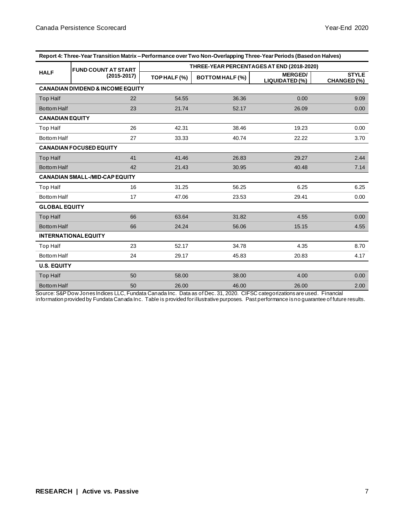| Report 4. Three-Teal Transition Matrix – Ferromance over Two Non-Overlapping Three-Teal Ferrous (Based on Harves) |                                       |                                           |                        |                                  |                             |  |  |
|-------------------------------------------------------------------------------------------------------------------|---------------------------------------|-------------------------------------------|------------------------|----------------------------------|-----------------------------|--|--|
|                                                                                                                   | <b>FUND COUNT AT START</b>            | THREE-YEAR PERCENTAGES AT END (2018-2020) |                        |                                  |                             |  |  |
| <b>HALF</b>                                                                                                       | $(2015 - 2017)$                       | TOP HALF (%)                              | <b>BOTTOM HALF (%)</b> | <b>MERGED/</b><br>LIQUIDATED (%) | <b>STYLE</b><br>CHANGED (%) |  |  |
| <b>CANADIAN DIVIDEND &amp; INCOME EQUITY</b>                                                                      |                                       |                                           |                        |                                  |                             |  |  |
| <b>Top Half</b>                                                                                                   | 22                                    | 54.55                                     | 36.36                  | 0.00                             | 9.09                        |  |  |
| <b>Bottom Half</b>                                                                                                | 23                                    | 21.74                                     | 52.17                  | 26.09                            | 0.00                        |  |  |
| <b>CANADIAN EQUITY</b>                                                                                            |                                       |                                           |                        |                                  |                             |  |  |
| <b>Top Half</b>                                                                                                   | 26                                    | 42.31                                     | 38.46                  | 19.23                            | 0.00                        |  |  |
| <b>Bottom Half</b>                                                                                                | 27                                    | 33.33                                     | 40.74                  | 22.22                            | 3.70                        |  |  |
|                                                                                                                   | <b>CANADIAN FOCUSED EQUITY</b>        |                                           |                        |                                  |                             |  |  |
| <b>Top Half</b>                                                                                                   | 41                                    | 41.46                                     | 26.83                  | 29.27                            | 2.44                        |  |  |
| <b>Bottom Half</b>                                                                                                | 42                                    | 21.43                                     | 30.95                  | 40.48                            | 7.14                        |  |  |
|                                                                                                                   | <b>CANADIAN SMALL-/MID-CAP EQUITY</b> |                                           |                        |                                  |                             |  |  |
| Top Half                                                                                                          | 16                                    | 31.25                                     | 56.25                  | 6.25                             | 6.25                        |  |  |
| <b>Bottom Half</b>                                                                                                | 17                                    | 47.06                                     | 23.53                  | 29.41                            | 0.00                        |  |  |
| <b>GLOBAL EQUITY</b>                                                                                              |                                       |                                           |                        |                                  |                             |  |  |
| <b>Top Half</b>                                                                                                   | 66                                    | 63.64                                     | 31.82                  | 4.55                             | 0.00                        |  |  |
| <b>Bottom Half</b>                                                                                                | 66                                    | 24.24                                     | 56.06                  | 15.15                            | 4.55                        |  |  |
|                                                                                                                   | <b>INTERNATIONAL EQUITY</b>           |                                           |                        |                                  |                             |  |  |
| Top Half                                                                                                          | 23                                    | 52.17                                     | 34.78                  | 4.35                             | 8.70                        |  |  |
| <b>Bottom Half</b>                                                                                                | 24                                    | 29.17                                     | 45.83                  | 20.83                            | 4.17                        |  |  |
| <b>U.S. EQUITY</b>                                                                                                |                                       |                                           |                        |                                  |                             |  |  |
| <b>Top Half</b>                                                                                                   | 50                                    | 58.00                                     | 38.00                  | 4.00                             | 0.00                        |  |  |
| <b>Bottom Half</b>                                                                                                | 50                                    | 26.00                                     | 46.00                  | 26.00                            | 2.00                        |  |  |

**Report 4: Three-Year Transition Matrix – Performance over Two Non-Overlapping Three-Year Periods (Based on Halves)**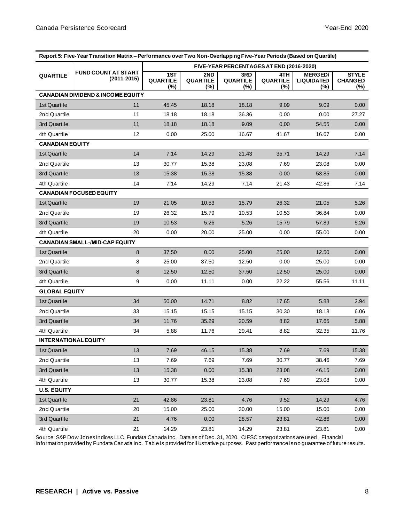| Report 5: Five-Year Transition Matrix - Performance over Two Non-Overlapping Five-Year Periods (Based on Quartile) |                                              |                                          |                        |                                  |                               |                                               |                                          |  |
|--------------------------------------------------------------------------------------------------------------------|----------------------------------------------|------------------------------------------|------------------------|----------------------------------|-------------------------------|-----------------------------------------------|------------------------------------------|--|
|                                                                                                                    |                                              | FIVE-YEAR PERCENTAGES AT END (2016-2020) |                        |                                  |                               |                                               |                                          |  |
| <b>FUND COUNT AT START</b><br><b>QUARTILE</b><br>$(2011 - 2015)$                                                   |                                              | 1ST<br><b>QUARTILE</b><br>(%)            | 2ND<br>QUARTILE<br>(%) | 3RD<br><b>QUARTILE</b><br>$(\%)$ | 4TH<br><b>QUARTILE</b><br>(%) | <b>MERGED/</b><br><b>LIQUIDATED</b><br>$(\%)$ | <b>STYLE</b><br><b>CHANGED</b><br>$(\%)$ |  |
|                                                                                                                    | <b>CANADIAN DIVIDEND &amp; INCOME EQUITY</b> |                                          |                        |                                  |                               |                                               |                                          |  |
| 1st Quartile                                                                                                       | 11                                           | 45.45                                    | 18.18                  | 18.18                            | 9.09                          | 9.09                                          | 0.00                                     |  |
| 2nd Quartile                                                                                                       | 11                                           | 18.18                                    | 18.18                  | 36.36                            | 0.00                          | 0.00                                          | 27.27                                    |  |
| 3rd Quartile                                                                                                       | 11                                           | 18.18                                    | 18.18                  | 9.09                             | 0.00                          | 54.55                                         | 0.00                                     |  |
| 4th Quartile                                                                                                       | 12                                           | 0.00                                     | 25.00                  | 16.67                            | 41.67                         | 16.67                                         | 0.00                                     |  |
| <b>CANADIAN EQUITY</b>                                                                                             |                                              |                                          |                        |                                  |                               |                                               |                                          |  |
| 1st Quartile                                                                                                       | 14                                           | 7.14                                     | 14.29                  | 21.43                            | 35.71                         | 14.29                                         | 7.14                                     |  |
| 2nd Quartile                                                                                                       | 13                                           | 30.77                                    | 15.38                  | 23.08                            | 7.69                          | 23.08                                         | 0.00                                     |  |
| 3rd Quartile                                                                                                       | 13                                           | 15.38                                    | 15.38                  | 15.38                            | 0.00                          | 53.85                                         | 0.00                                     |  |
| 4th Quartile                                                                                                       | 14                                           | 7.14                                     | 14.29                  | 7.14                             | 21.43                         | 42.86                                         | 7.14                                     |  |
|                                                                                                                    | <b>CANADIAN FOCUSED EQUITY</b>               |                                          |                        |                                  |                               |                                               |                                          |  |
| 1st Quartile                                                                                                       | 19                                           | 21.05                                    | 10.53                  | 15.79                            | 26.32                         | 21.05                                         | 5.26                                     |  |
| 2nd Quartile                                                                                                       | 19                                           | 26.32                                    | 15.79                  | 10.53                            | 10.53                         | 36.84                                         | 0.00                                     |  |
| 3rd Quartile                                                                                                       | 19                                           | 10.53                                    | 5.26                   | 5.26                             | 15.79                         | 57.89                                         | 5.26                                     |  |
| 4th Quartile                                                                                                       | 20                                           | 0.00                                     | 20.00                  | 25.00                            | 0.00                          | 55.00                                         | 0.00                                     |  |
|                                                                                                                    | <b>CANADIAN SMALL-/MID-CAP EQUITY</b>        |                                          |                        |                                  |                               |                                               |                                          |  |
| 1st Quartile                                                                                                       | 8                                            | 37.50                                    | 0.00                   | 25.00                            | 25.00                         | 12.50                                         | 0.00                                     |  |
| 2nd Quartile                                                                                                       | 8                                            | 25.00                                    | 37.50                  | 12.50                            | 0.00                          | 25.00                                         | 0.00                                     |  |
| 3rd Quartile                                                                                                       | 8                                            | 12.50                                    | 12.50                  | 37.50                            | 12.50                         | 25.00                                         | 0.00                                     |  |
| 4th Quartile                                                                                                       | 9                                            | 0.00                                     | 11.11                  | 0.00                             | 22.22                         | 55.56                                         | 11.11                                    |  |
| <b>GLOBAL EQUITY</b>                                                                                               |                                              |                                          |                        |                                  |                               |                                               |                                          |  |
| 1st Quartile                                                                                                       | 34                                           | 50.00                                    | 14.71                  | 8.82                             | 17.65                         | 5.88                                          | 2.94                                     |  |
| 2nd Quartile                                                                                                       | 33                                           | 15.15                                    | 15.15                  | 15.15                            | 30.30                         | 18.18                                         | 6.06                                     |  |
| 3rd Quartile                                                                                                       | 34                                           | 11.76                                    | 35.29                  | 20.59                            | 8.82                          | 17.65                                         | 5.88                                     |  |
| 4th Quartile                                                                                                       | 34                                           | 5.88                                     | 11.76                  | 29.41                            | 8.82                          | 32.35                                         | 11.76                                    |  |
| <b>INTERNATIONAL EQUITY</b>                                                                                        |                                              |                                          |                        |                                  |                               |                                               |                                          |  |
| 1st Quartile                                                                                                       | 13                                           | 7.69                                     | 46.15                  | 15.38                            | 7.69                          | 7.69                                          | 15.38                                    |  |
| 2nd Quartile                                                                                                       | 13                                           | 7.69                                     | 7.69                   | 7.69                             | 30.77                         | 38.46                                         | 7.69                                     |  |
| 3rd Quartile                                                                                                       | 13                                           | 15.38                                    | 0.00                   | 15.38                            | 23.08                         | 46.15                                         | 0.00                                     |  |
| 4th Quartile                                                                                                       | 13                                           | 30.77                                    | 15.38                  | 23.08                            | 7.69                          | 23.08                                         | 0.00                                     |  |
| <b>U.S. EQUITY</b>                                                                                                 |                                              |                                          |                        |                                  |                               |                                               |                                          |  |
| 1st Quartile                                                                                                       | 21                                           | 42.86                                    | 23.81                  | 4.76                             | 9.52                          | 14.29                                         | 4.76                                     |  |
| 2nd Quartile                                                                                                       | 20                                           | 15.00                                    | 25.00                  | 30.00                            | 15.00                         | 15.00                                         | 0.00                                     |  |
| 3rd Quartile                                                                                                       | 21                                           | 4.76                                     | 0.00                   | 28.57                            | 23.81                         | 42.86                                         | 0.00                                     |  |
| 4th Quartile                                                                                                       | 21                                           | 14.29                                    | 23.81                  | 14.29                            | 23.81                         | 23.81                                         | 0.00                                     |  |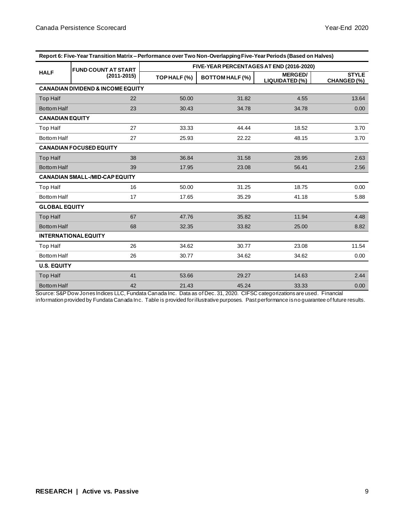| Report 0. The Teal Transition Matrix – Ferromance Over Two Non-Overlapping Five-Teal Ferrous (Daseu Officialves) |                                       |                                          |                        |                                  |                             |  |  |
|------------------------------------------------------------------------------------------------------------------|---------------------------------------|------------------------------------------|------------------------|----------------------------------|-----------------------------|--|--|
|                                                                                                                  | <b>FUND COUNT AT START</b>            | FIVE-YEAR PERCENTAGES AT END (2016-2020) |                        |                                  |                             |  |  |
| <b>HALF</b><br>$(2011 - 2015)$                                                                                   |                                       | TOP HALF (%)                             | <b>BOTTOM HALF (%)</b> | <b>MERGED/</b><br>LIQUIDATED (%) | <b>STYLE</b><br>CHANGED (%) |  |  |
| <b>CANADIAN DIVIDEND &amp; INCOME EQUITY</b>                                                                     |                                       |                                          |                        |                                  |                             |  |  |
| <b>Top Half</b>                                                                                                  | 22                                    | 50.00                                    | 31.82                  | 4.55                             | 13.64                       |  |  |
| <b>Bottom Half</b>                                                                                               | 23                                    | 30.43                                    | 34.78                  | 34.78                            | 0.00                        |  |  |
| <b>CANADIAN EQUITY</b>                                                                                           |                                       |                                          |                        |                                  |                             |  |  |
| Top Half                                                                                                         | 27                                    | 33.33                                    | 44.44                  | 18.52                            | 3.70                        |  |  |
| <b>Bottom Half</b>                                                                                               | 27                                    | 25.93                                    | 22.22                  | 48.15                            | 3.70                        |  |  |
|                                                                                                                  | <b>CANADIAN FOCUSED EQUITY</b>        |                                          |                        |                                  |                             |  |  |
| <b>Top Half</b>                                                                                                  | 38                                    | 36.84                                    | 31.58                  | 28.95                            | 2.63                        |  |  |
| <b>Bottom Half</b>                                                                                               | 39                                    | 17.95                                    | 23.08                  | 56.41                            | 2.56                        |  |  |
|                                                                                                                  | <b>CANADIAN SMALL-/MID-CAP EQUITY</b> |                                          |                        |                                  |                             |  |  |
| Top Half                                                                                                         | 16                                    | 50.00                                    | 31.25                  | 18.75                            | 0.00                        |  |  |
| Bottom Half                                                                                                      | 17                                    | 17.65                                    | 35.29                  | 41.18                            | 5.88                        |  |  |
| <b>GLOBAL EQUITY</b>                                                                                             |                                       |                                          |                        |                                  |                             |  |  |
| <b>Top Half</b>                                                                                                  | 67                                    | 47.76                                    | 35.82                  | 11.94                            | 4.48                        |  |  |
| <b>Bottom Half</b>                                                                                               | 68                                    | 32.35                                    | 33.82                  | 25.00                            | 8.82                        |  |  |
|                                                                                                                  | <b>INTERNATIONAL EQUITY</b>           |                                          |                        |                                  |                             |  |  |
| Top Half                                                                                                         | 26                                    | 34.62                                    | 30.77                  | 23.08                            | 11.54                       |  |  |
| <b>Bottom Half</b>                                                                                               | 26                                    | 30.77                                    | 34.62                  | 34.62                            | 0.00                        |  |  |
| <b>U.S. EQUITY</b>                                                                                               |                                       |                                          |                        |                                  |                             |  |  |
| <b>Top Half</b>                                                                                                  | 41                                    | 53.66                                    | 29.27                  | 14.63                            | 2.44                        |  |  |
| <b>Bottom Half</b>                                                                                               | 42                                    | 21.43                                    | 45.24                  | 33.33                            | 0.00                        |  |  |

| Report 6: Five-Year Transition Matrix – Performance over Two Non-Overlapping Five-Year Periods (Based on Halves) |
|------------------------------------------------------------------------------------------------------------------|
|                                                                                                                  |
|                                                                                                                  |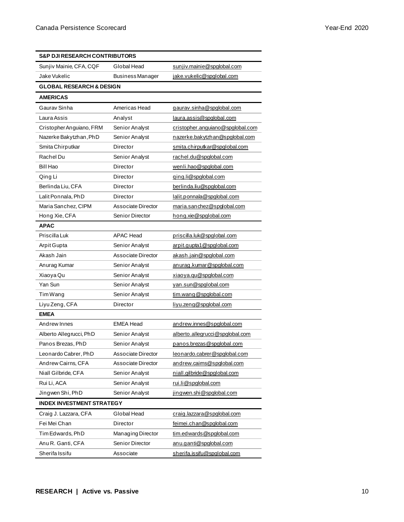| <b>S&amp;P DJI RESEARCH CONTRIBUTORS</b> |                         |                                  |  |  |
|------------------------------------------|-------------------------|----------------------------------|--|--|
| Sunjiv Mainie, CFA, CQF                  | Global Head             | sunjiv.mainie@spglobal.com       |  |  |
| Jake Vukelic                             | <b>Business Manager</b> | jake.vukelic@spglobal.com        |  |  |
| <b>GLOBAL RESEARCH &amp; DESIGN</b>      |                         |                                  |  |  |
| <b>AMERICAS</b>                          |                         |                                  |  |  |
| Gaurav Sinha                             | Americas Head           | gaurav.sinha@spglobal.com        |  |  |
| Laura Assis                              | Analyst                 | laura.assis@spglobal.com         |  |  |
| Cristopher Anguiano, FRM                 | Senior Analyst          | cristopher.anguiano@spglobal.com |  |  |
| Nazerke Bakytzhan, PhD                   | Senior Analyst          | nazerke.bakytzhan@spglobal.com   |  |  |
| Smita Chirputkar                         | Director                | smita.chirputkar@spglobal.com    |  |  |
| Rachel Du                                | Senior Analyst          | rachel.du@spglobal.com           |  |  |
| Bill Hao                                 | Director                | wenli.hao@spglobal.com           |  |  |
| Qing Li                                  | Director                | ging.li@spglobal.com             |  |  |
| Berlinda Liu, CFA                        | Director                | berlinda.liu@spglobal.com        |  |  |
| Lalit Ponnala, PhD                       | Director                | lalit.ponnala@spglobal.com       |  |  |
| Maria Sanchez, CIPM                      | Associate Director      | maria.sanchez@spglobal.com       |  |  |
| Hong Xie, CFA                            | Senior Director         | hong.xie@spglobal.com            |  |  |
| <b>APAC</b>                              |                         |                                  |  |  |
| Priscilla Luk                            | <b>APAC Head</b>        | priscilla.luk@spglobal.com       |  |  |
| Arpit Gupta                              | Senior Analyst          | arpit.gupta1@spglobal.com        |  |  |
| Akash Jain                               | Associate Director      | akash.jain@spglobal.com          |  |  |
| Anurag Kumar                             | Senior Analyst          | anurag.kumar@spglobal.com        |  |  |
| Xiaoya Qu                                | Senior Analyst          | xiaoya.qu@spglobal.com           |  |  |
| Yan Sun                                  | Senior Analyst          | yan.sun@spglobal.com             |  |  |
| Tim Wang                                 | Senior Analyst          | tim.wang@spglobal.com            |  |  |
| Liyu Zeng, CFA                           | Director                | liyu.zeng@spglobal.com           |  |  |
| <b>EMEA</b>                              |                         |                                  |  |  |
| Andrew Innes                             | <b>EMEA Head</b>        | andrew.innes@spglobal.com        |  |  |
| Alberto Allegrucci, PhD                  | Senior Analyst          | alberto.allegrucci@spglobal.com  |  |  |
| Panos Brezas, PhD                        | Senior Analyst          | panos.brezas@spglobal.com        |  |  |
| Leonardo Cabrer, PhD                     | Associate Director      | leonardo.cabrer@spglobal.com     |  |  |
| Andrew Cairns, CFA                       | Associate Director      | andrew.caims@spglobal.com        |  |  |
| Niall Gilbride, CFA                      | Senior Analyst          | niall.gilbride@spglobal.com      |  |  |
| Rui Li, ACA                              | Senior Analyst          | rui.li@spglobal.com              |  |  |
| Jingwen Shi, PhD                         | Senior Analyst          | jingwen.shi@spglobal.com         |  |  |
| <b>INDEX INVESTMENT STRATEGY</b>         |                         |                                  |  |  |
| Craig J. Lazzara, CFA                    | Global Head             | craig.lazzara@spglobal.com       |  |  |
| Fei Mei Chan                             | Director                | feimei.chan@spglobal.com         |  |  |
| Tim Edwards, PhD                         | Managing Director       | tim.edwards@spqlobal.com         |  |  |
| Anu R. Ganti, CFA                        | Senior Director         | anu.ganti@spglobal.com           |  |  |
| Sherifa Issifu                           | Associate               | sherifa.issifu@spglobal.com      |  |  |